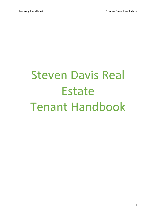# Steven Davis Real Estate Tenant Handbook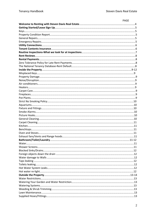| PAGE |
|------|
|      |
|      |
|      |
|      |
|      |
|      |
|      |
|      |
|      |
|      |
|      |
|      |
|      |
|      |
|      |
|      |
|      |
|      |
|      |
|      |
|      |
|      |
|      |
|      |
|      |
|      |
|      |
|      |
|      |
|      |
|      |
|      |
|      |
|      |
|      |
|      |
|      |
|      |
|      |
|      |
|      |
|      |
|      |
|      |
|      |
|      |
|      |
|      |
|      |
|      |
|      |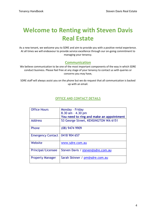# **Welcome to Renting with Steven Davis Real Estate**

As a new tenant, we welcome you to SDRE and aim to provide you with a positive rental experience. At all times we will endeavour to provide service excellence through our on-going commitment to managing your tenancy.

#### **Communication**

We believe communication to be one of the most important components of the way in which SDRE conduct business. Please feel free at any stage of your tenancy to contact us with queries or concerns you may have,

SDRE staff will always assist you on the phone but we do request that all communication is backed up with an email.

# **OFFICE AND CONTACT DETAILS**

| <b>Office Hours</b>      | Monday - Friday                          |
|--------------------------|------------------------------------------|
|                          | 8.30 am - 4.30 pm                        |
|                          | You need to ring and make an appointment |
| <b>Address</b>           | 53 George Street, KENSINGTON WA 6151     |
| Phone                    | (08) 9474 9909                           |
| <b>Emergency Contact</b> | 0418 904 657                             |
| Website                  | www.sdre.com.au                          |
| Principal/Licensee       | Steven Davis / steven@sdre.com.au        |
| <b>Property Manager</b>  | Sarah Skinner / pm@sdre.com.au           |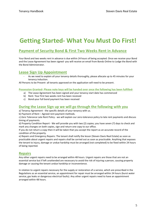# **Getting Started- What You Must Do First!**

# **Payment of Security Bond & First Two Weeks Rent in Advance**

Your Bond and two weeks rent in advance is due within 24 hours of being accepted. Once we receive your Bond and the Lease Agreement has been signed- you will receive an email from Bonds Online to Lodge the Bond with the Bond Administrator.

# **Lease Sign Up Appointment**

As we need to explain all your tenancy details thoroughly, please allocate up to 45 minutes for your tenancy induction.

All Persons to be Present- all tenants approved on the application will need to be present.

#### **Possession Granted- Please note keys will be handed over once the following has been fulfilled-**

- a) The Lease Agreement has been signed and your tenancy start date has commenced
- b) Rent- Your first two weeks rent has been received
- c) Bond-your full bond payment has been received

#### **During the Lease Sign up we will go through the following with you**

a) Tenancy Agreement - the specific details of your tenancy with us.

b) Payment of Rent – Agreed rent payment methods.

c) Zero Tolerance Late Rent Policy - we will explain our zero-tolerance policy to late rent payments and discuss timing of payments.

d) Property Condition Report - We will provide you with two (2) copies; you have seven (7) days to check and mark any changes on both copies, sign and return one copy to our office.

If you do not return a copy then it will be taken that you accept the report as an accurate record of the condition of the property.

e) Repairs and Emergency Repairs: The tenant shall notify the lessor (Steven Davis Real Estate) as soon as practicable about urgent repairs and repairs shall be carried out as soon as practicable. Anything that exposes the tenant to injury, damage or undue hardship must be arranged (not completed) to be fixed within 24 hours of being reported.

#### **Repairs**

Any other urgent repairs need to be arranged within 48 hours. Urgent repairs are those that are not an essential service but if left unattended are necessary to avoid the risk of injuring a person, causing property damage or causing the tenant undue hardship or inconvenience.

In relation to urgent repairs necessary for the supply or restoration of a service, which are prescribed in the Regulations as an essential service, an appointment for repair must be arranged within 24 hours (burst water service, gas leaks or dangerous electrical faults). Any other urgent repairs need to have an appointment arranged within 48 hours.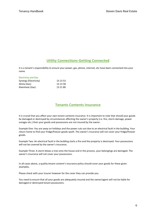# **Utility Connections-Getting Connected**

It is a tenant's responsibility to ensure your power, gas, phone, internet, etc have been connected into your name.

| <b>Electricty and Gas</b> |          |
|---------------------------|----------|
| Synergy (Electricity)     | 13 13 53 |
| Alinta (Gas)              | 13 13 58 |
| Kleenheat (Gas)           | 13 21 80 |

# **Tenants Contents Insurance**

It is crucial that you affect your own tenant contents insurance. It is important to note that should your goods be damaged or destroyed by circumstances affecting the owner's property (i.e. fire, storm damage, power outages etc.) then your goods and possessions are not insured by the owner.

Example One: You are away on holidays and the power cuts out due to an electrical fault in the building. Your return home to find your fridge/freezer goods spoilt. The owner's insurance will not cover your fridge/freezer goods.

Example Two: An electrical fault in the building starts a fire and the property is destroyed. Your possessions will not be covered by the owner's insurance.

Example Three: A storm blows a tree onto the house and in the process, your belongings are damaged. The owner's insurance will not cover your possessions.

In all cases above, a quality tenant content's insurance policy should cover your goods for these given examples.

Please check with your insurer however for the cover they can provide you.

You need to ensure that all your goods are adequately insured and the owner/agent will not be liable for damaged or destroyed tenant possessions.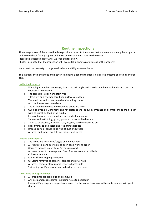# **Routine Inspections**

The main purpose of the inspection is to provide a report to the owner that you are maintaining the property, and also to check for any repairs and make any recommendations to the owner. Please see a detailed list of what we look out for below. Photos- also note that the inspection will involve taking photos of all areas of the property.

We expect the property to be generally clean and tidy when we inspect.

This includes the bench tops and kitchen sink being clear and the floors being free of items of clothing and/or toys.

#### **Inside the Property**

- o Walls, light switches, doorways, doors and skirting boards are clean. All marks, handprints, dust and cobwebs are removed
- o The carpets are clean and stain free
- o Tiles, vinyl or any other hard floor surfaces are clean
- o The windows and screens are clean including tracks
- o Air conditioner vents are clean
- o The kitchen bench tops and cupboard doors are clean
- o Oven, shelves, grill, drip trays and hot plates as well as oven surrounds and control knobs are all clean with no burnt-on food or oil residue
- o Exhaust fans and range hood are free of dust and grease
- o Shower and bath tiling, grout, glass and mirrors all to be clean
- o Toilet to be cleaned, including seat, lid, pan, bowl inside and out
- o Light fittings to be dusted and free of insect spots
- o Drapes, curtain, blinds to be free of dust and grease
- o All areas and rooms are fully accessible (not locked)

#### **Outside the Property**

- o The lawns are freshly cut/edged and maintained
- o All reticulation and sprinklers to be in good working order
- o Gardens tidy and presentable/weeds removed
- o All paved areas to be swept and free of leaves, weeds or rubbish
- o Cobwebs removed
- o Rubbish/lawn clippings removed
- o Oil Stains removed to carports, garages and driveways
- o All areas, garages, store rooms etc are all accessible
- o Swimming pool/spa water and sides/bottom are clean

#### **If You Have an Approved Pet**

- o All droppings are picked up and removed
- o Any pet damage is repaired, including holes to be filled in
- o Ensure all/any dogs are properly restrained for the inspection as we will need to be able to inspect the yard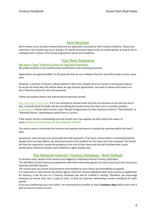#### **Rent Reviews**

Rent reviews occur at lease renewal time and are adjusted in accordance with market conditions. Please also note that a rent review may occur during a 12 month fixed term lease at the six month period, as long as this is indicated with a clause in the tenancy agreement terms and conditions.

#### **Your Rent Payments**

**We have a 'Zero' Tolerance Policy for Late Rent Payments.** We pride ourselves in our careful tenant qualification and screening processes.

Applications are approved ONLY on the grounds that we are confident that the rent will be paid on time, every time.

However, a minority of tenants still get behind in their rent, despite all of our tenant screening procedures. As we do not know who this will be when we sign tenancy agreements, we need to advise each tenant our Zero Tolerance policy for late rent payments.

Follow-up involves phone calls and persistent personal contact.

Day rent is due (1 Day Late)- If it is not received as cleared funds into the trust account on the day the rent is due, a friendly email reminder will be sent letting the tenant know that their rent is currently overdue. 2 Days Behind- Phone call to tenant. Issue "Breach of Agreement for Non-Payment of Rent"/ "Rent Default" or "Remedial Notice" depending on which form is current.

If the tenant remains outstanding once the breach term has expired, we will contact the owner to issue a **"Notice of Termination for Non-Payment of Rent**".

This notice seeks to terminate the tenancy and requires the tenant to vacate the premises within the next 7 days.

Sometimes, some tenants are continually late with payments. If we have a tenant that is consistently behind despite all of our best efforts, we will recommend to the landlord for this lease not to be renewed. The tenant will then be required to vacate the property at the end of their lease and also be furnished with a poor performance reference should a new landlord or agent require one.

#### **The National Internet Tenancy Database - Rent Default**

In extreme cases, details of the tenancy are lodged on a National Internet Tenancy Data Base. This will affect further tenancy arrangements with other real estate agents not only in your local area, but across Australia and New Zealand.

This could cause you severe inconvenience and hardship for your future accommodation prospects.

It is important to note that all real estate agents check this tenancy database when they receive an application for tenancy. If we list you on a Tenancy Database you will be notified in writing. Therefore, we encourage everyone to ensure their rent is paid on time, so that our business relationship remains beneficial for both parties.

If you are transferring your rent online- we recommend to transfer at least **2 business days** before your rent is due to ensure it clears on time.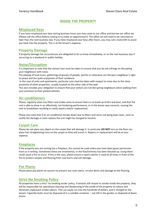# **INSIDE THE PROPERTY**

#### **Misplaced Keys**

If you have misplaced your keys during business hours you may come to our office and borrow our office set. (Please call the office before coming in to make an appointment). The office set will need to be returned no later than the next business day. If you have misplaced your keys after hours, you may call a locksmith to assist you back into the property. This is at the tenant's expense.

#### **Property Damage**

If property damage has occurred you are obligated to let us know immediately, or on the next business day if occurring on a weekend or public holiday.

#### **Noise/Disruption**

It is important to note that the utmost care must be taken to ensure that you do not infringe on disrupting your neighbours with noise.

The playing of loud music, gatherings of groups of people, parties or otherwise can disrupt a neighbour's right to peace and the quiet enjoyment of their residence.

In the case of units and apartments, particular care must be taken with respect to noise due to the close proximity of other properties, usually located on the other side of the wall.

This also includes your obligation to ensure that your visitors are not disrupting neighbours when walking from your premises to their parked vehicles.

# **Air conditioners**

Please, regularly clean any filters and intake vents to ensure there is no build up of dirt and dust, and that the unit is able to draw in air effectively, not hindering performance, or in the worse case scenario, causing the unit to breakdown resulting in costly repairs and/or replacement.

Please also note that if an air conditioner breaks down due to filters and vents not being kept clean, costs to rectify the damage or even replace the unit might be charged to tenants.

#### **Carpet Care**

Please do not place any object on the carpet that will damage it. In particular **DO NOT** iron on the floor nor place hair straightening irons on the carpet as they will scorch it. Repairs or replacement will be at your expense.

#### **Fireplaces**

If the property you are renting has a fireplace, this cannot be used unless you have been given permission from us in writing. Sometimes these are ornamental, or the flue/chimney has been blocked up. Using them could cause a fire to occur. If this is the case, please ensure a spark catcher is used at all times in front of the fire to protect carpets and flooring from coal burns and ash damage.

#### **Pot Plants**

Please place pot plants on saucers to prevent any rusts stains, circular dents and damage to the flooring.

#### **Strict No Smoking Policy**

All properties have a strict 'no smoking inside' policy. If tenants still choose to smoke inside the property, they will be responsible for specialised cleaning and deodorising of the inside of the property to reduce and eliminate unpleasant smoke odours. This can easily run into the hundreds of dollars, and is charged to the tenant. Cigarette butts must be disposed of in a suitable container – not left in the garden or disposed of down drains.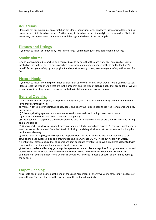#### **Aquariums**

Please do not put aquariums on carpet, like pot plants, aquarium stands can leave rust marks to floors and can cause carpet rot if placed on carpets. Furthermore, if placed on carpets the weight of the aquarium filled with water may cause permanent indentations and damage in the base of the carpet pile.

#### **Fixtures and Fittings**

If you wish to install or remove any fixtures or fittings, you must request this beforehand in writing.

#### **Smoke Alarms**

Smoke alarms should be checked on a regular basis to be sure that they are working. There is a test button located on the unit. In most of our properties we arrange annual maintenance of these on the landlord's behalf. Protect your safety by being vigilant and report to us any issues, to ensure your safety in the case of a fire.

#### **Picture Hooks**

If you wish to install any new picture hooks, please let us know in writing what type of hooks you wish to use. Please assess the type of walls that are in the property, and the type of picture hooks that are suitable. We will let you know in writing before you are permitted to install appropriate picture hooks.

#### **General Cleaning**

It is expected that the property be kept reasonably clean, and this is also a tenancy agreement requirement. Pay particular attention to:

a) Walls, switches, power points, skirtings, doors and doorways - please keep these free from marks and dirty finger marks.

b) Cobwebs/dusting - please remove cobwebs to windows, walls and ceilings. Keep vents dusted. Light fittings and ceiling fans - keep them dusted regularly.

c) Curtains/blinds - keep these cleaned, dusted and also (if suitable) machine or dry clean curtains and netting on an annual basis.

d) Windows/sills/window tracks and flyscreens - keep regularly cleaned and dusted. Please note most modern windows are easily removed from their tracks by lifting the sliding window up at the bottom, and pulling this out for easy cleaning.

e) Floors - please keep regularly swept and mopped. Floors in the kitchen and wet areas may need to be scrubbed to keep surfaces, tiles and grouting looking clean. Please DO NOT hose out floors with water. f) Ventilation - please ensure that all rooms are kept adequately ventilated to avoid problems associated with condensation, causing mould and possible health problems.

g) Bathroom, toilet and laundry grouting/tiles - please ensure all tiles are kept free from grime, soap scum and mould. Excess water should be wiped from bench tops to ensure the internal cupboards are not water damaged. Hair dye and other strong chemicals should NOT be used in basins or baths as these may damage the surface.

#### **Carpet Cleaning**

All carpets need to be cleaned at the end of the Lease Agreement or every twelve months, simply because of general living. The best time is in the warmer months so they dry quickly.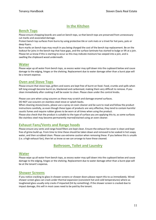# **In the Kitchen**

#### **Bench Tops**

Please ensure chopping boards are used on bench tops, so that bench tops are preserved from unnecessary cut marks and associated damage.

Protect bench top surfaces from burns by using protective tile or cork mats or a trivet for hot pans, pots or deep fryers.

Burn marks on bench tops may result in you being charged the cost of the bench top replacement. Be on the lookout for joins in the bench-top that have gaps, and the surface laminate has started to bulge or lift at a join. Please let us know if this is starting to occur as this may indicate moisture has seeped into a join, and is swelling the chipboard wood underneath.

#### **Water**

Please wipe up all water from bench tops, as excess water may spill down into the cupboard below and cause damage to the edging, hinges or the shelving. Replacement due to water damage other than a burst pipe will be a tenant expense.

#### **Oven and Stove Tops**

Please ensure that stove tops, grillers and ovens are kept free of burnt on food. Food, crumbs and spills when left long enough become burnt on, blackened and carbonised, making them very difficult to remove. If you clean immediately after cooking it will be easier to clean. Please clean under the control knobs.

Please use care when using scourers as these may scratch and damage enamel surfaces.

DO NOT use scourers on stainless steel stove or splash-backs.

When cleaning stoves/ovens, please use a spray-on oven cleaner and be sure to read and follow the product instructions carefully, as even though these types of products are very effective, they tend to contain harmful caustic fumes and require rubber gloves to be worn at all times when using the product.

Please also check that the product is suitable to the type of surface you are applying this to, as some surfaces like stainless steel may become permanently marred/stained using an oven cleaner.

#### **Exhaust Fans/Vents and Range hoods**

Please ensure any vents and range hood filters are kept clean. Ensure the exhaust fan cover is clean and kept free of grime build up. From time to time these should be taken down and removed to be soaked in hot soapy water, and then scrubbed clean. Please use extreme caution when removing these. If you believe this is unsafe (i.e. a high exhaust fan), then let us know so we can arrange to have these cleaned.

# **Bathroom, Toilet and Laundry**

#### **Water**

Please wipe up all water from bench tops, as excess water may spill down into the cupboard below and cause damage to the edging, hinges or the shelving. Replacement due to water damage other than a burst pipe will be at the tenant's expense**.** 

#### **Shower Screens**

If you notice cracking to glass in shower screens or shower doors please report this to us immediately. Wired shower screen glass can crack under thermal expansion (consistent hot and cold temperatures) where as toughened glass usually only cracks if impacted (hit by something). If the shower screen is cracked due to impact damage, this will in most cases need to be paid by the tenant.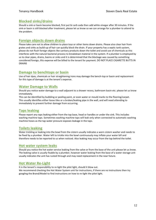#### **Blocked sinks/drains**

Should a sink or basin become blocked, first put bi carb soda then add white vinegar after 30 minutes. If the sink or basin is still blocked after treatment, please let us know so we can arrange for a plumber to attend to the problem.

#### **Foreign objects down drains**

Please take care not to allow children to place toys or other items down drains. Please also clear hair from grates and sinks as build-up of hair can quickly block the drain. If your property has a septic tank system, please do not flush foreign objects like sanitary products down the toilet and avoid use of chemicals as this interferes with the natural bacterial process to breakdown material in the system. If a plumber is employed by us to clear pipes, drains, basins or sinks and it is determined that the blockage was caused by something considered foreign, this expense will be billed to the tenant for payment. DO NOT PLACE CIGARETTE BUTTS IN DRAINS

#### **Damage to benchtops or basin**

Use of hair dyes, chemicals or hair straightening irons may damage the bench-top or basin and replacement for this type of damage is at the tenant's expense.

#### **Water Damage to Walls**

Should you notice water damage to a wall adjacent to a shower recess, bathroom basin etc. please let us know immediately.

This can be identified by bubbling or peeling paint, or even water or mould marks to the flooring/carpet. This usually identifies either loose tiles or a broken/leaking pipe in the wall, and will need attending to immediately to prevent further damage from occurring.

#### **Taps leaking**

Please report any taps leaking either from the tap base, head or handles or under the sink. This includes washing machine taps. Sometimes washing machine taps will leak only when connected to automatic washing machine hoses as the tap water pressure exposes leakage in the taps.

# **Toilets leaking**

Water trickling or leaking into the bowl from the cistern usually indicates a worn cistern washer and needs to be fixed by a plumber. Water left to trickle into the bowl continuously may inflate your water bill and therefore needs to be reported to us when noticed. Also leaking may occur from the tap behind the toilet.

#### **Hot water system leaks**

Should you notice the hot water service leaking from the valve or from the base of the unit please let us know. The leaking valve is usually fixable by a plumber, however water leaking from the base of a water storage unit usually indicates the unit has rusted through and may need replacement in the near future.

#### **Hot Water Re-Light**

It is the tenant's responsibility to re-light the pilot light, should it blow out. We recommend checking the Hot Water System unit for instructions, if there are no instructions then try googling the Brand/Model to find instructions on how to re-light the pilot light.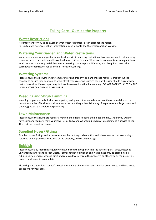# **Taking Care - Outside the Property**

#### **Water Restrictions**

It is important for you to be aware of what water restrictions are in place for the region. For up to date water restriction information please log onto the Water Corporation Website

#### **Watering Your Garden and Water Restrictions**

Watering your lawns and gardens must be done within watering restrictions; however we insist that watering is conducted to the maximum allowed by the restrictions in place. What we do not want is watering not done at all because of a wrong belief that a total watering ban is in place. Watering is still required unless the current water restriction has banned all forms of watering.

#### **Watering Systems**

Please ensure that all watering systems are working properly, and are checked regularly throughout the tenancy to ensure they continue to work effectively. Watering systems can only be used should current water restrictions allow. Please report any faulty or broken reticulation immediately. DO NOT PARK VEHICLES ON THE LAWN AS THIS CAN DAMAGE SPRINKLERS.

#### **Weeding and Shrub Trimming**

Weeding of gardens beds, inside lawns, paths, paving and other outside areas are the responsibility of the tenant as are the of bushes and shrubs in and around the garden. Trimming of large trees and large palms and cleaning gutters is a landlord responsibility.

#### **Lawn Maintenance**

Please ensure that lawns are regularly mowed and edged, keeping them neat and tidy. Should you wish to have someone regularly mow your lawn, let us know and we would be happy to recommend a service to you. This is at the tenant's expense.

#### **Supplied Hoses/Fittings**

Supplied hoses, fittings and accessories must be kept in good condition and please ensure that everything is returned and in place upon vacating of the property, free of any damage.

#### **Rubbish**

Please ensure any rubbish is regularly removed from the property. This includes car parts, tyres, batteries, unwanted furniture and garden waste. Formal household rubbish and waste must only be placed inside rubbish containers (i.e. wheelie bins) and removed weekly from the property, or otherwise as required. This cannot be allowed to accumulate.

Please log onto your local council's website for details of bin collection as well as green waste and hard waste collections for your area.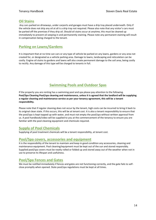#### **Oil Stains**

Any cars parked on driveways, under carports and garages must have a drip tray placed underneath. Only if the vehicle does not drip any oil at all is a drip tray not required. Please also note that any visitor's cars must be parked off the premises if they drip oil. Should oil stains occur at anytime, this must be cleaned up immediately to prevent oil seeping in and permanently staining. Please note any permanent staining will result in compensation being charged to the tenant.

# **Parking on Lawns/Gardens**

It is important that at no time can cars or any type of vehicle be parked on any lawns, gardens or any area not created for, or designated as a vehicle parking area. Damage to lawns, landscaping and reticulation can be costly. Engine oil stains to gardens and lawns will also create permanent damage to the soil area, being costly to rectify. Any damage of this type will be charged to tenants in full.

# **Swimming Pools and Outdoor Spas**

If the property you are renting has a swimming pool and spa please pay attention to the following. **Pool/Spa Cleaning Pool/spa cleaning and maintenance, unless it is agreed that the landlord will be supplying a regular cleaning and maintenance service as per your tenancy agreement, this will be a tenant responsibility.**

Please note that if regular cleaning does not occur by the tenant, high costs can be incurred to bring it back to its original clean state. If this occurs, this will be at tenant cost. It is also a tenant responsibility to ensure that the pool/spa is kept topped up with water, and must not empty the pool/spa without written approval from us. A pool handbook/video will be supplied to you at the commencement of the tenancy to ensure you are familiar with the pool cleaning equipment and chemicals required.

# **Supply of Pool Chemicals**

Supplying of pool treatment chemicals will be a tenant responsibility, at tenant cost.

#### **Pool/Spa covers, accessories and equipment**

It is the responsibility of the tenant to maintain and keep in good condition any accessories, cleaning and maintenance equipment. Pool cleaning/equipment must be kept out of the sun and stored responsibly. Supplied pool/spa covers must be neatly rolled or folded up and stored away out of the weather when not in use to preserve its lifespan and usefulness.

# **Pool/Spa Fences and Gates**

We must be notified immediately if fences and gates are not functioning correctly, and the gate fails to selfclose promptly when opened. State pool/spa regulations must be kept at all times.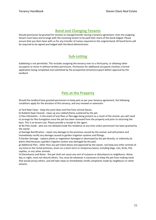# **Bond and Changing Tenants**

Should permission be granted for tenants to change/transfer during a tenancy agreement, then the outgoing tenant must liaise and arrange with the incoming tenant to be paid their share of the bond lodged. Please ensure that you then liaise with us for any transfer of names required on the original bond. All bond forms will be required to be signed and lodged with the Bond Administrator.

# **Sub-Letting**

Subletting is not permitted. This includes assigning the tenancy over to a third party, or allowing other occupants to move in without written permission. Permission for additional occupants involves a formal application being completed and submitted by the prospective tenant/occupant before approval by the landlord

# **Pets at the Property**

Should the landlord have granted permission to keep pets as per your tenancy agreement, the following conditions apply for the duration of this tenancy, and any renewal or extension:

a) Yard Kept Clean - keep the yard clean and free from animal faeces.

b) Rubbish Kept Cleared - clean up any rubbish/items scattered by the pet.

c) Flea infestation - in the event of any fleas or flea eggs being present as a result of the animal, you will need to arrange for flea fumigation once the pet has been removed from the property and prior to returning the keys. This is at tenant cost. Please provide a receipt to the agent.

d) No Pets Inside - pets are not allowed inside the residence at any time unless permission has been granted by the owner.

e) Damage Rectification - repair any damage to the premises caused by the animal, and will protect and immediately rectify any damage caused to garden irrigation systems and fittings.

f) Garden Damage - replace plants or vegetation damaged or destroyed by the pet directly, or indirectly (ie. plants died because a garden irrigation system was damaged by the pet).

g) Additional Pets - other than any pet listed above and approved by the owner, not keep any other animals of any kind on the rental premises, (even on a short-term or temporary basis), including dogs, cats, birds, fish, reptiles, or any other animals.

h) Disturbance and Noise - the pet shall not cause any sort of nuisance or disturbance to neighbours. Noise, day or night, must not disturb others. You must do whatever is necessary to keep the pet from making noise that would annoy others, and will take steps to immediately rectify complaints made by neighbours or other tenants.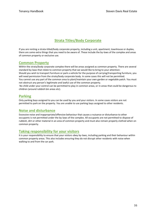# **Strata Titles/Body Corporate**

If you are renting a strata-titled/body corporate property, including a unit, apartment, townhouse or duplex, there are some extra things that you need to be aware of. These include the by-laws of the complex and areas of common property or exclusive use.

#### **Common Property**

Within the strata/body corporate complex there will be areas assigned as common property. There are several standard by-laws that relate to common property that we would like to bring to your attention:

Should you wish to transport furniture or park a vehicle for the purpose of carrying/transporting furniture, you will need permission from the strata/body corporate body. In some cases this will not be permitted.

You cannot use any part of the common area to plant/maintain your own garden or vegetable patch. You must not obstruct any person's legitimate and lawful use of the common property.

No child under your control can be permitted to play in common areas, or in areas that could be dangerous to children (around rubbish bin areas etc).

#### **Parking**

Only parking bays assigned to you can be used by you and your visitors. In some cases visitors are not permitted to park on the property. You are unable to use parking bays assigned to other residents.

#### **Noise and disturbance**

Excessive noise and inappropriate/offensive behaviour that causes a nuisance or disturbance to other occupants is not permitted under the by-laws of the complex. All occupants are not permitted to dispose of rubbish, dirt or other material in an area of common property and must also remain properly clothed when on common property.

#### **Taking responsibility for your visitors**

It is your responsibility to ensure that your visitors obey by-laws, including parking and their behaviour within common property areas. This also includes ensuring they do not disrupt other residents with noise when walking to and from the car park.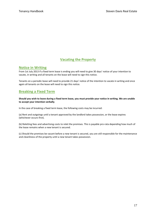# **Vacating the Property**

#### **Notice in Writing**

From 1st July 2013 if a fixed term lease is ending you will need to give 30 days' notice of your intention to vacate, in writing and all tenants on the lease will need to sign this notice.

Tenants on a periodic lease will need to provide 21 days' notice of the intention to vacate in writing and once again all tenants on the lease will need to sign this notice.

# **Breaking a Fixed Term**

**Should you wish to leave during a fixed term lease, you must provide your notice in writing. We are unable to accept your intention verbally**.

In the case of breaking a fixed term lease, the following costs may be incurred:

(a) Rent and outgoings until a tenant approved by the landlord takes possession, or the lease expires (whichever occurs first).

(b) Reletting fees and advertising costs to relet the premises. This is payable pro-rata depending how much of the lease remains when a new tenant is secured.

(c) Should the premises be vacant before a new tenant is secured, you are still responsible for the maintenance and cleanliness of the property until a new tenant takes possession.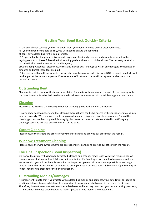# **Getting Your Bond Back Quickly- Criteria**

At the end of your tenancy you will no doubt want your bond refunded quickly after you vacate. For your full bond to be paid quickly, you will need to ensure the following:

a) Rent -any outstanding rent is paid promptly.

b) Property Ready - the property is cleaned, carpets professionally cleaned and grounds returned to their ingoing condition. Please follow the final vacating guide at the end of this handbook. The property must also pass the final inspection conducted by this agency.

c) Outstanding Accounts - please ensure that any monies outstanding like water, any damages, compensation amounts and break lease fees are paid.

d) Keys - ensure that all keys, remote controls etc. have been returned. If keys are NOT returned then locks will be changed at the tenant's expense. If remotes are NOT returned these will be replaced and re-set at the tenant's expense.

#### **Outstanding Rent**

Please note that it is against the tenancy legislation for you to withhold rent at the end of your tenancy with the intention for this to be deducted from the bond. Your rent must be paid in full, leaving your bond intact.

#### **Cleaning**

Please use the 'Getting the Property Ready for Vacating' guide at the end of this booklet.

It is also important to understand that cleaning thoroughness can be hampered by tiredness after moving into another property. We encourage you to employ a cleaner so this process is not compromised. Should the cleaning process not be completed thoroughly, this can result in extra costs associated in rectifying any cleaning issues and will also delay the return of the bond.

# **Carpet Cleaning**

Please ensure the carpets are professionally steam cleaned and provide our office with the receipt.

#### **Window Treatment Cleaning**

Please ensure the window treatments are professionally cleaned and provide our office with the receipt.

#### **The Final Inspection (Bond Inspection)**

Only once the property has been fully vacated, cleaned and grounds made ready with keys returned can we commence our final inspection. It is important to note that if a final inspection time has been made and you are aware that you will not be fully ready for the inspection, please call us as soon as possible to rearrange another time. This inspection will be conducted during our usual business hours: 8.30am – 4.30pm Monday to Friday. You may be present for the bond inspection.

#### **Outstanding Monies/Damages**

It is important to note that if you vacate with outstanding monies and damages, your details will be lodged on a national internet tenancy database. It is important to know your details may still be lodged for 3 years. Therefore, due to the serious nature of these databases and how they can affect your future renting prospects, it is best that all monies owed be paid as soon as possible so no monies are outstanding.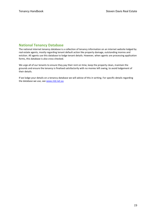# **National Tenancy Database**

The national internet tenancy database is a collection of tenancy information on an internet website lodged by real estate agents, mostly regarding tenant default action like property damage, outstanding monies and eviction. All agents use this database to lodge tenant details. However, when agents are processing application forms, this database is also cross-checked.

We urge all of our tenants to ensure they pay their rent on time, keep the property clean, maintain the grounds and ensure the tenancy is finalised satisfactorily with no monies left owing, to avoid lodgement of their details.

If we lodge your details on a tenancy database we will advise of this in writing. For specific details regarding the database we use, se[e www.ntd.net.au](http://www.ntd.net.au/)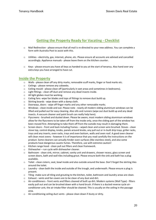# **Getting the Property Ready for Vacating - Checklist**

- o Mail Redirection please ensure that all mail is re-directed to your new address. You can complete a form with Australia Post to assist with this.
- o Utilities electricity, gas, internet, phone, etc. Please ensure all accounts are advised and cancelled accordingly. Appliance manuals - please leave them on the kitchen counter.
- o Keys please ensure you have all keys as handed to you at the start of tenancy. Also hand over any extra keys you have arranged to have cut.

#### **Inside the Property**

- o Walls please clean off any dirty marks, removable scuff marks, finger or food marks etc.
- o Ceilings please remove any cobwebs.
- o Ceiling mould please clean off (particularly in wet areas and sometimes in bedrooms).
- o Light fittings clean off dust and remove any dead insects inside.
- o All light globes must be working.
- o Ceiling fans -wipe fan blades and tops of fittings to remove dust build up.
- o Skirting boards wipe down with a damp cloth.
- o Doorways, doors wipe off finger marks and any other removable marks.
- o Windows clean inside and out. Please note nearly all modern sliding aluminium windows can be lifted and pulled out for easy cleaning. Also sills and runners (wipe out dust build up and any dead insects. A vacuum cleaner and paint brush can really help here).
- o Flyscreens brushed and dusted down. Please be aware, most modern sliding aluminium windows allow for the flyscreens to be taken off from the inside only, once the sliding part of the window has been moved first. Attempting to take them off from the outside may result in damaging them.
- o Screen doors front and back including frames wiped clean and screen wire brushed. Stoves clean stove top, control display, knobs, panels around knobs, any pull out or in-built drip trays, griller racks, trays and any inserts, oven racks, trays and oven bottom, walls and oven roof. A good oven cleaner will clean most ovens - however it is of importance that you read carefully the instructions on the product. Some cleaners can actually hinder oven surfaces (like stainless steel), and also some products have dangerous caustic fumes. Therefore, use with extreme caution!
- o Kitchen range hood clean pull out filters and clean framework.
- $\circ$  Dishwasher run cycle with dishwasher cleaner.
- o Bathroom clean sink, mirror, cabinet, vanity unit and drawers, shower recess, glass screen and screen doors, bath and wall tiles including grout. Please ensure both the sink and bath has a plug available.
- $\circ$  Toilet clean cistern, seat, bowl inside and also outside around the base. Don't forget the skirting tiles around the toilet.
- o Laundry clean both the inside and outside of the trough, and underneath. Please ensure a plug is present.
- o Tiling -make sure all tiling and grouting to the kitchen, toilet, bathroom and laundry areas are clean.
- o Exhaust vents and fan covers are to be clean of any dust and dirt.
- o Air-conditioners front vents and filters cleaned of built up dirt. Modern systems (Wall Type) filters easily pull out and can be brushed down with a hand brush. If there is a ducted reverse cycle airconditioner unit, the air intake filter should be cleaned. This is usually on the ceiling in the passage area.
- o Air-conditioning ceiling duct vents please clean down if dusty or dirty.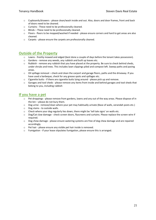- o Cupboards/drawers please clean/wash inside and out. Also, doors and door frames, front and back of doors need to be cleaned.
- o Curtains These need to be professionally cleaned.
- o Blinds These need to be professionally cleaned.
- o Floors floors to be mopped/washed if needed please ensure corners and hard to get areas are also cleaned.
- o Carpets please ensure the carpets are professionally cleaned.

#### **Outside of the Property**

- o Lawns freshly mowed and edged (best done a couple of days before the tenant takes possession).
- o Gardens remove any weeds, any rubbish and built up leaves etc.
- $\circ$  Rubbish remove any rubbish that you have placed at the property. Be sure to check behind sheds, under shrubs and trees. This includes lawn clippings piled and compost left. Sweep paths and paving areas.
- $\circ$  Oil spillage removal check and clean the carport and garage floors, paths and the driveway. If you have used a barbeque, check for any grease spots and spillages etc.
- o Cigarette butts if there are cigarette butts lying around please pick up and remove.
- $\circ$  Garages and tool sheds please remove any items from inside and behind garages and tool sheds that belong to you, including rubbish

# **If you have a pet**

- o Pet droppings please remove from gardens, lawns and any out of the way areas. Please dispose of in the bin – please do not bury them.
- $\circ$  Dog urine remove/clean where your pet may habitually urinate (Base of walls, verandah posts etc.)
- o Dog stains to outside walls.
- o Check where your dog regularly lies down, there might be 'tell tale signs' on walls etc.
- $\circ$  Dog/Cat claw damage check screen doors, flyscreens and curtains. Please replace the screen wire if required.
- o Dog chew damage please ensure watering systems are free of dog chew damage and are repaired accordingly.
- o Pet hair please ensure any visible pet hair inside is removed.
- o Fumigation if your lease stipulates fumigation, please ensure this is arranged.